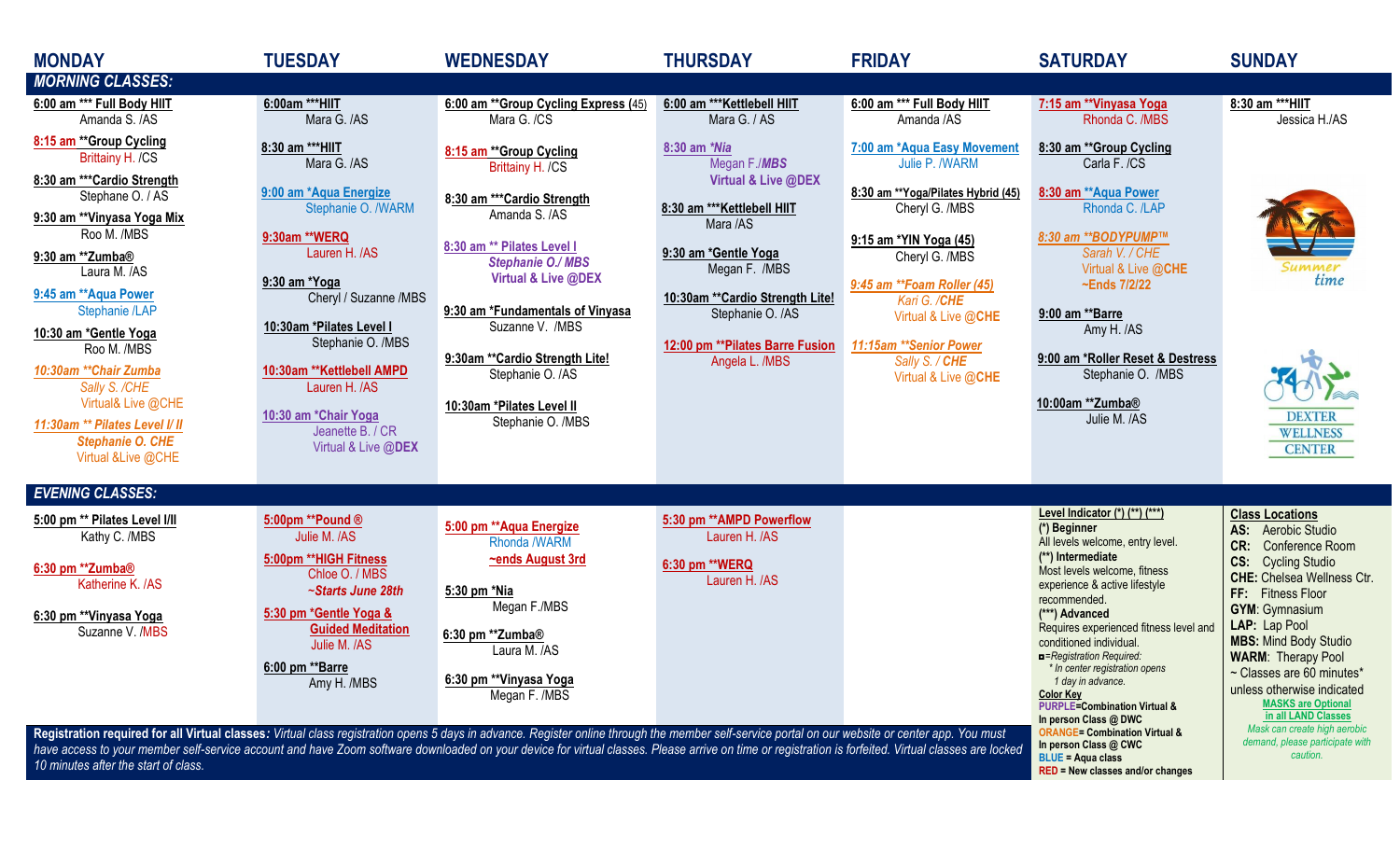| <b>MONDAY</b>                                                                                                                                                                                                                                | <b>TUESDAY</b>                                                          | <b>WEDNESDAY</b>                                     | <b>THURSDAY</b>                                      | <b>FRIDAY</b>                                         | <b>SATURDAY</b>                                                                                                    | <b>SUNDAY</b>                                                                                |
|----------------------------------------------------------------------------------------------------------------------------------------------------------------------------------------------------------------------------------------------|-------------------------------------------------------------------------|------------------------------------------------------|------------------------------------------------------|-------------------------------------------------------|--------------------------------------------------------------------------------------------------------------------|----------------------------------------------------------------------------------------------|
| <b>MORNING CLASSES:</b>                                                                                                                                                                                                                      |                                                                         |                                                      |                                                      |                                                       |                                                                                                                    |                                                                                              |
| 6:00 am *** Full Body HIIT<br>Amanda S. /AS                                                                                                                                                                                                  | 6:00am ***HIIT<br>Mara G. /AS                                           | 6:00 am ** Group Cycling Express (45)<br>Mara G. /CS | 6:00 am *** Kettlebell HIIT<br>Mara G. / AS          | 6:00 am *** Full Body HIIT<br>Amanda /AS              | 7:15 am **Vinyasa Yoga<br>Rhonda C. /MBS                                                                           | 8:30 am *** HIIT<br>Jessica H./AS                                                            |
| 8:15 am ** Group Cycling<br>Brittainy H. /CS                                                                                                                                                                                                 | 8:30 am ***HIIT<br>Mara G. /AS                                          | 8:15 am ** Group Cycling<br>Brittainy H. /CS         | 8:30 am *Nia<br>Megan F./MBS                         | 7:00 am *Aqua Easy Movement<br>Julie P. /WARM         | 8:30 am ** Group Cycling<br>Carla F. /CS                                                                           |                                                                                              |
| 8:30 am *** Cardio Strength<br>Stephane O. / AS                                                                                                                                                                                              | 9:00 am *Aqua Energize<br>Stephanie O. /WARM                            | 8:30 am *** Cardio Strength                          | Virtual & Live @DEX<br>8:30 am *** Kettlebell HIIT   | 8:30 am ** Yoga/Pilates Hybrid (45)<br>Cheryl G. /MBS | 8:30 am ** Aqua Power<br>Rhonda C. /LAP                                                                            |                                                                                              |
| 9:30 am **Vinyasa Yoga Mix<br>Roo M. /MBS                                                                                                                                                                                                    | 9:30am ** WERQ                                                          | Amanda S. /AS<br>8:30 am ** Pilates Level I          | Mara /AS                                             | 9:15 am *YIN Yoga (45)                                | 8:30 am ** BODYPUMP™                                                                                               |                                                                                              |
| 9:30 am **Zumba®<br>Laura M. /AS                                                                                                                                                                                                             | Lauren H. /AS<br>9:30 am *Yoga                                          | <b>Stephanie O./ MBS</b><br>Virtual & Live @DEX      | 9:30 am *Gentle Yoga<br>Megan F. /MBS                | Cheryl G. /MBS<br>9:45 am ** Foam Roller (45)         | Sarah V. / CHE<br>Virtual & Live @CHE<br>~Ends 7/2/22                                                              | Summer<br>time                                                                               |
| 9:45 am ** Aqua Power<br>Stephanie /LAP                                                                                                                                                                                                      | Cheryl / Suzanne /MBS<br>10:30am *Pilates Level I                       | 9:30 am *Fundamentals of Vinyasa<br>Suzanne V. /MBS  | 10:30am ** Cardio Strength Lite!<br>Stephanie O. /AS | Kari G. /CHE<br>Virtual & Live @CHE                   | 9:00 am **Barre<br>Amy H. /AS                                                                                      |                                                                                              |
| 10:30 am *Gentle Yoga<br>Roo M. /MBS<br>10:30am ** Chair Zumba                                                                                                                                                                               | Stephanie O. /MBS<br>10:30am ** Kettlebell AMPD                         | 9:30am ** Cardio Strength Lite!                      | 12:00 pm ** Pilates Barre Fusion<br>Angela L. /MBS   | 11:15am ** Senior Power<br>Sally S. / CHE             | 9:00 am *Roller Reset & Destress                                                                                   |                                                                                              |
| Sally S. /CHE<br>Virtual& Live @CHE                                                                                                                                                                                                          | Lauren H. /AS                                                           | Stephanie O. /AS<br>10:30am *Pilates Level II        |                                                      | Virtual & Live @CHE                                   | Stephanie O. /MBS<br>10:00am **Zumba®                                                                              |                                                                                              |
| 11:30am ** Pilates Level I/ II<br><b>Stephanie O. CHE</b><br>Virtual & Live @CHE                                                                                                                                                             | 10:30 am *Chair Yoga<br>Jeanette B. / CR<br>Virtual & Live @DEX         | Stephanie O. /MBS                                    |                                                      |                                                       | Julie M. /AS                                                                                                       | <b>DEXTER</b><br><b>WELLNESS</b><br><b>CENTER</b>                                            |
| <b>EVENING CLASSES:</b>                                                                                                                                                                                                                      |                                                                         |                                                      |                                                      |                                                       |                                                                                                                    |                                                                                              |
| 5:00 pm ** Pilates Level I/II<br>Kathy C. /MBS                                                                                                                                                                                               | 5:00pm **Pound ®<br>Julie M. /AS                                        | 5:00 pm ** Aqua Energize<br>Rhonda /WARM             | 5:30 pm ** AMPD Powerflow<br>Lauren H. /AS           |                                                       | Level Indicator (*) (**) (***)<br>(*) Beginner<br>All levels welcome, entry level.                                 | <b>Class Locations</b><br>AS: Aerobic Studio                                                 |
| 6:30 pm **Zumba <sup>®</sup><br>Katherine K. /AS                                                                                                                                                                                             | 5:00pm ** HIGH Fitness<br>Chloe O. / MBS                                | ~ends August 3rd                                     | 6:30 pm ** WERQ<br>Lauren H. /AS                     |                                                       | (**) Intermediate<br>Most levels welcome, fitness<br>experience & active lifestyle                                 | <b>CR:</b> Conference Room<br><b>CS:</b> Cycling Studio<br><b>CHE:</b> Chelsea Wellness Ctr. |
| 6:30 pm ** Vinyasa Yoga<br>Suzanne V. /MBS                                                                                                                                                                                                   | ~Starts June 28th<br>5:30 pm *Gentle Yoga &<br><b>Guided Meditation</b> | 5:30 pm *Nia<br>Megan F./MBS                         |                                                      |                                                       | recommended.<br>(***) Advanced<br>Requires experienced fitness level and                                           | FF: Fitness Floor<br><b>GYM: Gymnasium</b><br>LAP: Lap Pool                                  |
|                                                                                                                                                                                                                                              | Julie M. /AS<br>6:00 pm ** Barre                                        | 6:30 pm **Zumba®<br>Laura M. /AS                     |                                                      |                                                       | conditioned individual.<br>Registration Required:                                                                  | <b>MBS: Mind Body Studio</b><br><b>WARM: Therapy Pool</b>                                    |
|                                                                                                                                                                                                                                              | Amy H. /MBS                                                             | 6:30 pm ** Vinyasa Yoga<br>Megan F. /MBS             |                                                      |                                                       | * In center registration opens<br>1 day in advance.<br><b>Color Key</b><br><b>PURPLE=Combination Virtual &amp;</b> | ~ Classes are 60 minutes*<br>unless otherwise indicated<br><b>MASKS are Optional</b>         |
| Registration required for all Virtual classes: Virtual class registration opens 5 days in advance. Register online through the member self-service portal on our website or center app. You must                                             |                                                                         |                                                      |                                                      |                                                       | In person Class @ DWC<br><b>ORANGE= Combination Virtual &amp;</b>                                                  | in all LAND Classes<br>Mask can create high aerobic<br>demand, please participate with       |
| have access to your member self-service account and have Zoom software downloaded on your device for virtual classes. Please arrive on time or registration is forfeited. Virtual classes are locked<br>10 minutes after the start of class. |                                                                         |                                                      |                                                      |                                                       | In person Class @ CWC<br><b>BLUE = Agua class</b><br><b>RED = New classes and/or changes</b>                       | caution.                                                                                     |